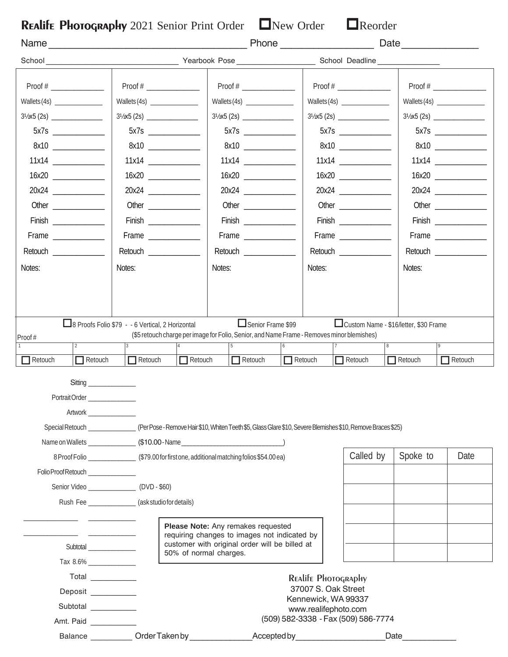|                          |                                    |                                                                                                                                              |                                                                                            |                         |                      |                                                             | Date                                       |                       |  |
|--------------------------|------------------------------------|----------------------------------------------------------------------------------------------------------------------------------------------|--------------------------------------------------------------------------------------------|-------------------------|----------------------|-------------------------------------------------------------|--------------------------------------------|-----------------------|--|
|                          |                                    |                                                                                                                                              |                                                                                            |                         |                      |                                                             |                                            |                       |  |
|                          |                                    |                                                                                                                                              |                                                                                            | $Proof # \_$            |                      | $Proof # \_$                                                |                                            | $Proof # \_$          |  |
| $Proof # \_$             |                                    |                                                                                                                                              |                                                                                            |                         |                      |                                                             | Wallets $(4s)$                             |                       |  |
|                          |                                    |                                                                                                                                              |                                                                                            |                         |                      |                                                             |                                            |                       |  |
|                          | $5x7s$ _____________               |                                                                                                                                              |                                                                                            |                         |                      |                                                             |                                            |                       |  |
|                          | 8x10                               |                                                                                                                                              |                                                                                            | 8x10                    |                      | $8x10$ ___________                                          |                                            | 8x10                  |  |
|                          |                                    |                                                                                                                                              |                                                                                            |                         |                      |                                                             |                                            |                       |  |
|                          |                                    |                                                                                                                                              |                                                                                            |                         | 16x20                |                                                             |                                            |                       |  |
| 20x24                    |                                    |                                                                                                                                              | 20x24<br>20x24                                                                             |                         |                      |                                                             |                                            | 20x24                 |  |
|                          |                                    | Other <b>Communication</b>                                                                                                                   |                                                                                            | Other                   |                      |                                                             |                                            |                       |  |
|                          |                                    |                                                                                                                                              |                                                                                            |                         | Finish _____________ |                                                             |                                            |                       |  |
| Frame $\frac{1}{2}$      |                                    |                                                                                                                                              |                                                                                            | Frame _______________   |                      | Frame $\frac{1}{2}$                                         |                                            | Frame $\frac{1}{2}$   |  |
|                          |                                    | Retouch ______________                                                                                                                       |                                                                                            | Retouch _______________ |                      | Retouch ______________                                      |                                            | Retouch _____________ |  |
| Notes:                   |                                    | Notes:                                                                                                                                       |                                                                                            | Notes:                  |                      | Notes:                                                      |                                            | Notes:                |  |
|                          | $\overline{2}$                     | □8 Proofs Folio \$79 - - 6 Vertical, 2 Horizontal                                                                                            | (\$5 retouch charge per image for Folio, Senior, and Name Frame - Removes minor blemishes) | Senior Frame \$99       | 6                    |                                                             | Custom Name - \$16/letter, \$30 Frame<br>8 |                       |  |
|                          | $\prod$ Retouch                    | $\Box$ Retouch                                                                                                                               | $\Box$ Retouch                                                                             | $\Box$ Retouch          | $\Box$ Retouch       | $\Box$ Retouch                                              | $\Box$ Retouch                             | $\Box$ Retouch        |  |
|                          |                                    |                                                                                                                                              |                                                                                            |                         |                      |                                                             |                                            |                       |  |
|                          | Portrait Order ______________      |                                                                                                                                              |                                                                                            |                         |                      |                                                             |                                            |                       |  |
|                          | <b>Artwork Exercise 2008</b>       |                                                                                                                                              |                                                                                            |                         |                      |                                                             |                                            |                       |  |
|                          |                                    | Special Retouch ________________(Per Pose - Remove Hair \$10, Whiten Teeth \$5, Glass Glare \$10, Severe Blemishes \$10, Remove Braces \$25) |                                                                                            |                         |                      |                                                             |                                            |                       |  |
|                          |                                    |                                                                                                                                              |                                                                                            |                         |                      |                                                             |                                            |                       |  |
|                          |                                    | 8 Proof Folio __________________(\$79.00 for first one, additional matching folios \$54.00 ea)                                               |                                                                                            |                         |                      | Called by                                                   | Spoke to                                   |                       |  |
|                          | Folio Proof Retouch ______________ |                                                                                                                                              |                                                                                            |                         |                      |                                                             |                                            |                       |  |
|                          |                                    | Senior Video _________________ (DVD - \$60)                                                                                                  |                                                                                            |                         |                      |                                                             |                                            |                       |  |
|                          |                                    | Rush Fee ________________ (ask studio for details)                                                                                           |                                                                                            |                         |                      |                                                             |                                            | Date                  |  |
|                          |                                    |                                                                                                                                              |                                                                                            |                         |                      |                                                             |                                            |                       |  |
|                          |                                    |                                                                                                                                              | Please Note: Any remakes requested<br>requiring changes to images not indicated by         |                         |                      |                                                             |                                            |                       |  |
|                          | Subtotal ________________          |                                                                                                                                              | customer with original order will be billed at<br>50% of normal charges.                   |                         |                      |                                                             |                                            |                       |  |
|                          | Tax 8.6% _______________           |                                                                                                                                              |                                                                                            |                         |                      |                                                             |                                            |                       |  |
|                          | Total ___________                  |                                                                                                                                              |                                                                                            |                         |                      | <b>REALIFE PHOTOGRAPHY</b><br>37007 S. Oak Street           |                                            |                       |  |
|                          | Deposit __________                 |                                                                                                                                              |                                                                                            |                         |                      | Kennewick, WA 99337                                         |                                            |                       |  |
| Proof#<br>$\Box$ Retouch | Subtotal<br>Amt. Paid              |                                                                                                                                              |                                                                                            |                         |                      | www.realifephoto.com<br>(509) 582-3338 - Fax (509) 586-7774 |                                            |                       |  |